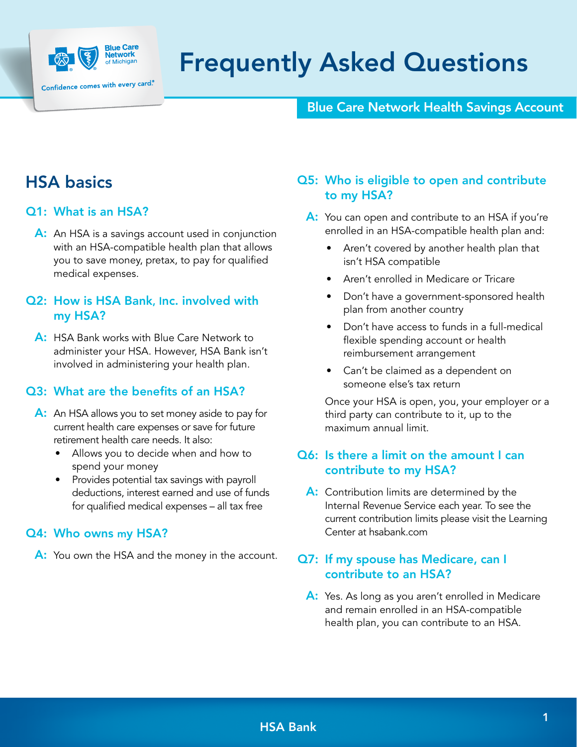

# Frequently Asked Questions

## Blue Care Network Health Savings Account

# HSA basics

## Q1: What is an HSA?

A: An HSA is a savings account used in conjunction with an HSA-compatible health plan that allows you to save money, pretax, to pay for qualified medical expenses.

## Q2: How is HSA Bank, Inc. involved with my HSA?

A: HSA Bank works with Blue Care Network to administer your HSA. However, HSA Bank isn't involved in administering your health plan.

## Q3: What are the benefits of an HSA?

- A: An HSA allows you to set money aside to pay for current health care expenses or save for future retirement health care needs. It also:
	- Allows you to decide when and how to spend your money
	- Provides potential tax savings with payroll deductions, interest earned and use of funds for qualified medical expenses – all tax free

#### Q4: Who owns my HSA?

A: You own the HSA and the money in the account.

## Q5: Who is eligible to open and contribute to my HSA?

- A: You can open and contribute to an HSA if you're enrolled in an HSA-compatible health plan and:
	- Aren't covered by another health plan that isn't HSA compatible
	- Aren't enrolled in Medicare or Tricare
	- Don't have a government-sponsored health plan from another country
	- Don't have access to funds in a full-medical flexible spending account or health reimbursement arrangement
	- Can't be claimed as a dependent on someone else's tax return

 Once your HSA is open, you, your employer or a third party can contribute to it, up to the maximum annual limit.

## Q6: Is there a limit on the amount I can contribute to my HSA?

A: Contribution limits are determined by the Internal Revenue Service each year. To see the current contribution limits please visit the Learning Center at [hsabank.com](https://www.hsabank.com/hsabank/learning-center/irs-contribution-limits-and-guidelines)

## Q7: If my spouse has Medicare, can I contribute to an HSA?

A: Yes. As long as you aren't enrolled in Medicare and remain enrolled in an HSA-compatible health plan, you can contribute to an HSA.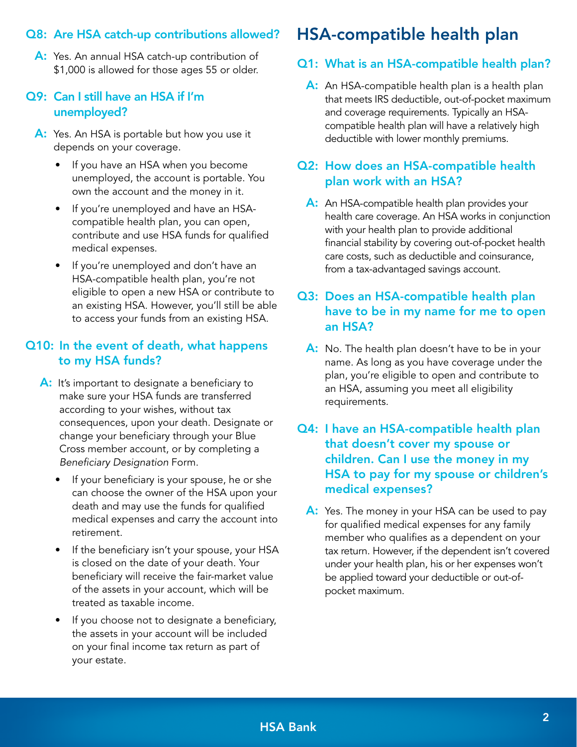## Q8: Are HSA catch-up contributions allowed?

A: Yes. An annual HSA catch-up contribution of \$1,000 is allowed for those ages 55 or older.

## Q9: Can I still have an HSA if I'm unemployed?

- A: Yes. An HSA is portable but how you use it depends on your coverage.
	- If you have an HSA when you become unemployed, the account is portable. You own the account and the money in it.
	- If you're unemployed and have an HSAcompatible health plan, you can open, contribute and use HSA funds for qualified medical expenses.
	- If you're unemployed and don't have an HSA-compatible health plan, you're not eligible to open a new HSA or contribute to an existing HSA. However, you'll still be able to access your funds from an existing HSA.

## Q10: In the event of death, what happens to my HSA funds?

- A: It's important to designate a beneficiary to make sure your HSA funds are transferred according to your wishes, without tax consequences, upon your death. Designate or change your beneficiary through your Blue Cross member account, or by completing a *Beneficiary Designation* Form.
	- If your beneficiary is your spouse, he or she can choose the owner of the HSA upon your death and may use the funds for qualified medical expenses and carry the account into retirement.
	- If the beneficiary isn't your spouse, your HSA is closed on the date of your death. Your beneficiary will receive the fair-market value of the assets in your account, which will be treated as taxable income.
	- If you choose not to designate a beneficiary, the assets in your account will be included on your final income tax return as part of your estate.

# HSA-compatible health plan

## Q1: What is an HSA-compatible health plan?

A: An HSA-compatible health plan is a health plan that meets IRS deductible, out-of-pocket maximum and coverage requirements. Typically an HSAcompatible health plan will have a relatively high deductible with lower monthly premiums.

## Q2: How does an HSA-compatible health plan work with an HSA?

A: An HSA-compatible health plan provides your health care coverage. An HSA works in conjunction with your health plan to provide additional financial stability by covering out-of-pocket health care costs, such as deductible and coinsurance, from a tax-advantaged savings account.

## Q3: Does an HSA‑compatible health plan have to be in my name for me to open an HSA?

- A: No. The health plan doesn't have to be in your name. As long as you have coverage under the plan, you're eligible to open and contribute to an HSA, assuming you meet all eligibility requirements.
- Q4: I have an HSA‑compatible health plan that doesn't cover my spouse or children. Can I use the money in my HSA to pay for my spouse or children's medical expenses?
	- A: Yes. The money in your HSA can be used to pay for qualified medical expenses for any family member who qualifies as a dependent on your tax return. However, if the dependent isn't covered under your health plan, his or her expenses won't be applied toward your deductible or out-ofpocket maximum.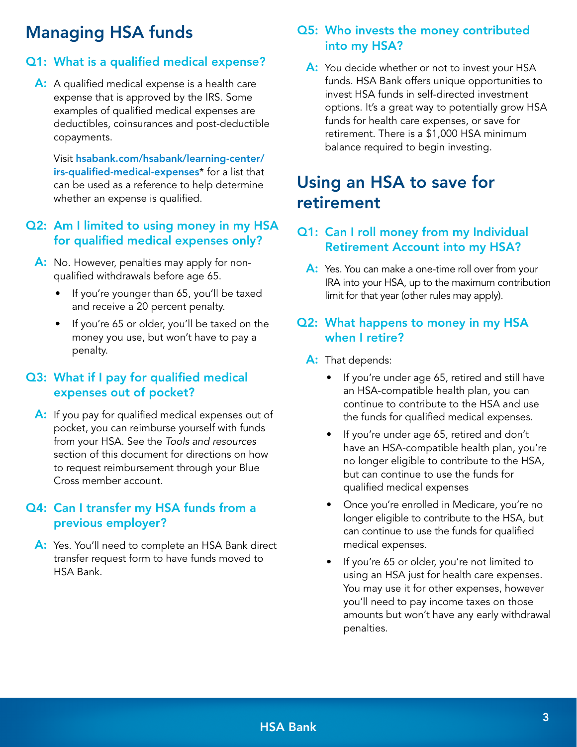# Managing HSA funds

## Q1: What is a qualified medical expense?

A: A qualified medical expense is a health care expense that is approved by the IRS. Some examples of qualified medical expenses are deductibles, coinsurances and post-deductible copayments.

 Visit [hsabank.com/hsabank/learning-center/](http://hsabank.com/hsabank/learning-center/irs-qualified-medical-expenses) [irs-qualified-medical-expenses](http://hsabank.com/hsabank/learning-center/irs-qualified-medical-expenses)\* for a list that can be used as a reference to help determine whether an expense is qualified.

## Q2: Am I limited to using money in my HSA for qualified medical expenses only?

- A: No. However, penalties may apply for nonqualified withdrawals before age 65.
	- If you're younger than 65, you'll be taxed and receive a 20 percent penalty.
	- If you're 65 or older, you'll be taxed on the money you use, but won't have to pay a penalty.

## Q3: What if I pay for qualified medical expenses out of pocket?

A: If you pay for qualified medical expenses out of pocket, you can reimburse yourself with funds from your HSA. See the *Tools and resources* section of this document for directions on how to request reimbursement through your Blue Cross member account.

## Q4: Can I transfer my HSA funds from a previous employer?

A: Yes. You'll need to complete an HSA Bank direct [transfer request form](https://www.hsabank.com/~/media/Files/CDH/Forms/hsa-direct-transfer-request-form) to have funds moved to HSA Bank.

## Q5: Who invests the money contributed into my HSA?

A: You decide whether or not to invest your HSA funds. HSA Bank offers unique opportunities to invest HSA funds in self-directed investment options. It's a great way to potentially grow HSA funds for health care expenses, or save for retirement. There is a \$1,000 HSA minimum balance required to begin investing.

# Using an HSA to save for retirement

## Q1: Can I roll money from my Individual Retirement Account into my HSA?

A: Yes. You can make a one-time roll over from your IRA into your HSA, up to the maximum contribution limit for that year (other rules may apply).

## Q2: What happens to money in my HSA when I retire?

- A: That depends:
	- If you're under age 65, retired and still have an HSA-compatible health plan, you can continue to contribute to the HSA and use the funds for qualified medical expenses.
	- If you're under age 65, retired and don't have an HSA-compatible health plan, you're no longer eligible to contribute to the HSA, but can continue to use the funds for qualified medical expenses
	- Once you're enrolled in Medicare, you're no longer eligible to contribute to the HSA, but can continue to use the funds for qualified medical expenses.
	- If you're 65 or older, you're not limited to using an HSA just for health care expenses. You may use it for other expenses, however you'll need to pay income taxes on those amounts but won't have any early withdrawal penalties.